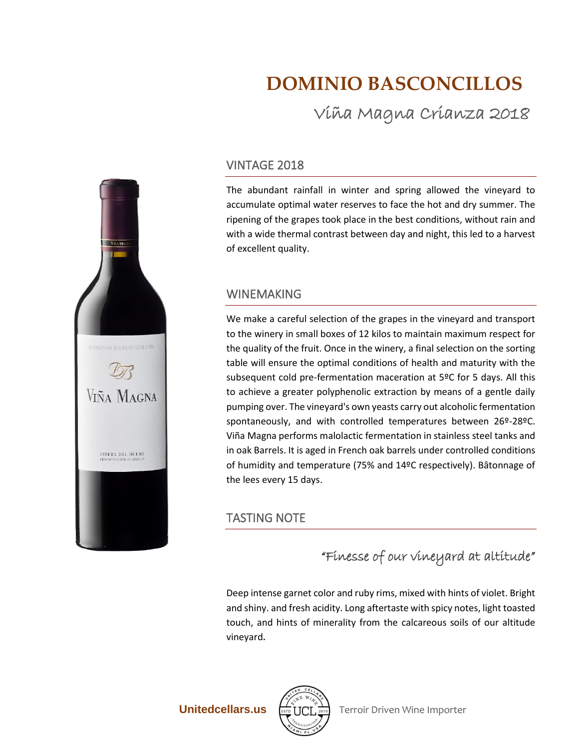# **DOMINIO BASCONCILLOS**

Viña Magna Crianza 2018

### VINTAGE 2018

The abundant rainfall in winter and spring allowed the vineyard to accumulate optimal water reserves to face the hot and dry summer. The ripening of the grapes took place in the best conditions, without rain and with a wide thermal contrast between day and night, this led to a harvest of excellent quality.

#### WINEMAKING

We make a careful selection of the grapes in the vineyard and transport to the winery in small boxes of 12 kilos to maintain maximum respect for the quality of the fruit. Once in the winery, a final selection on the sorting table will ensure the optimal conditions of health and maturity with the subsequent cold pre-fermentation maceration at 5ºC for 5 days. All this to achieve a greater polyphenolic extraction by means of a gentle daily pumping over. The vineyard's own yeasts carry out alcoholic fermentation spontaneously, and with controlled temperatures between 26º-28ºC. Viña Magna performs malolactic fermentation in stainless steel tanks and in oak Barrels. It is aged in French oak barrels under controlled conditions of humidity and temperature (75% and 14ºC respectively). Bâtonnage of the lees every 15 days.

## TASTING NOTE

# "Finesse of our vineyard at altitude"

Deep intense garnet color and ruby rims, mixed with hints of violet. Bright and shiny. and fresh acidity. Long aftertaste with spicy notes, light toasted touch, and hints of minerality from the calcareous soils of our altitude vineyard.



**Unitedcellars.us**  $\boxed{\text{max}}$  **Terroir Driven Wine Importer**